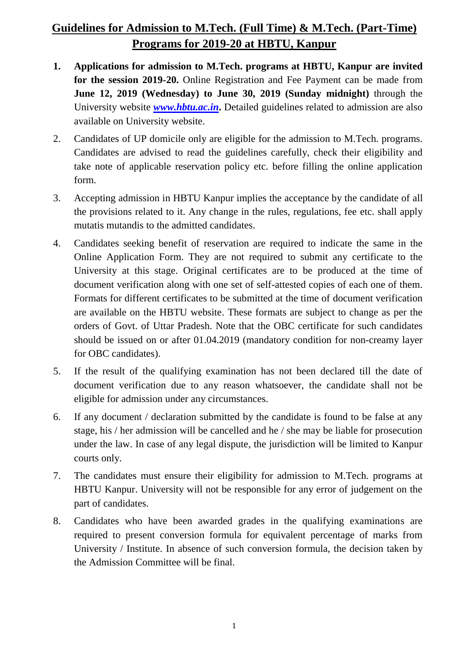## **Guidelines for Admission to M.Tech. (Full Time) & M.Tech. (Part-Time) Programs for 2019-20 at HBTU, Kanpur**

- **1. Applications for admission to M.Tech. programs at HBTU, Kanpur are invited for the session 2019-20.** Online Registration and Fee Payment can be made from **June 12, 2019 (Wednesday) to June 30, 2019 (Sunday midnight)** through the University website *[www.hbtu.ac.in](http://www.hbtu.ac.in/)***.** Detailed guidelines related to admission are also available on University website.
- 2. Candidates of UP domicile only are eligible for the admission to M.Tech. programs. Candidates are advised to read the guidelines carefully, check their eligibility and take note of applicable reservation policy etc. before filling the online application form.
- 3. Accepting admission in HBTU Kanpur implies the acceptance by the candidate of all the provisions related to it. Any change in the rules, regulations, fee etc. shall apply mutatis mutandis to the admitted candidates.
- 4. Candidates seeking benefit of reservation are required to indicate the same in the Online Application Form. They are not required to submit any certificate to the University at this stage. Original certificates are to be produced at the time of document verification along with one set of self-attested copies of each one of them. Formats for different certificates to be submitted at the time of document verification are available on the HBTU website. These formats are subject to change as per the orders of Govt. of Uttar Pradesh. Note that the OBC certificate for such candidates should be issued on or after 01.04.2019 (mandatory condition for non-creamy layer for OBC candidates).
- 5. If the result of the qualifying examination has not been declared till the date of document verification due to any reason whatsoever, the candidate shall not be eligible for admission under any circumstances.
- 6. If any document / declaration submitted by the candidate is found to be false at any stage, his / her admission will be cancelled and he / she may be liable for prosecution under the law. In case of any legal dispute, the jurisdiction will be limited to Kanpur courts only.
- 7. The candidates must ensure their eligibility for admission to M.Tech. programs at HBTU Kanpur. University will not be responsible for any error of judgement on the part of candidates.
- 8. Candidates who have been awarded grades in the qualifying examinations are required to present conversion formula for equivalent percentage of marks from University / Institute. In absence of such conversion formula, the decision taken by the Admission Committee will be final.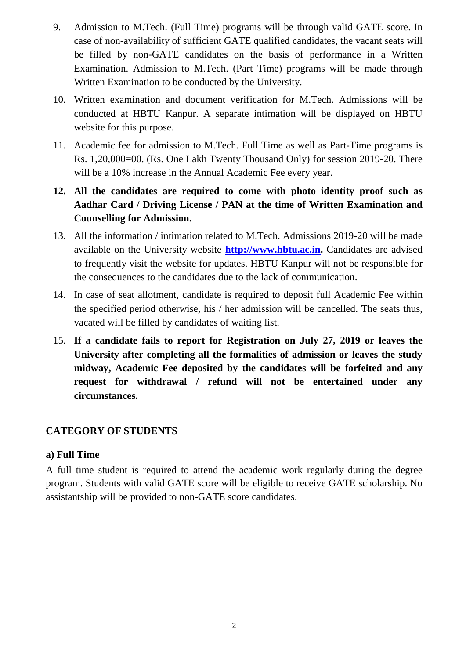- 9. Admission to M.Tech. (Full Time) programs will be through valid GATE score. In case of non-availability of sufficient GATE qualified candidates, the vacant seats will be filled by non-GATE candidates on the basis of performance in a Written Examination. Admission to M.Tech. (Part Time) programs will be made through Written Examination to be conducted by the University.
- 10. Written examination and document verification for M.Tech. Admissions will be conducted at HBTU Kanpur. A separate intimation will be displayed on HBTU website for this purpose.
- 11. Academic fee for admission to M.Tech. Full Time as well as Part-Time programs is Rs. 1,20,000=00. (Rs. One Lakh Twenty Thousand Only) for session 2019-20. There will be a 10% increase in the Annual Academic Fee every year.
- **12. All the candidates are required to come with photo identity proof such as Aadhar Card / Driving License / PAN at the time of Written Examination and Counselling for Admission.**
- 13. All the information / intimation related to M.Tech. Admissions 2019-20 will be made available on the University website **[http://www.hbtu.ac.in.](http://www.hbtu.ac.in/)** Candidates are advised to frequently visit the website for updates. HBTU Kanpur will not be responsible for the consequences to the candidates due to the lack of communication.
- 14. In case of seat allotment, candidate is required to deposit full Academic Fee within the specified period otherwise, his / her admission will be cancelled. The seats thus, vacated will be filled by candidates of waiting list.
- 15. **If a candidate fails to report for Registration on July 27, 2019 or leaves the University after completing all the formalities of admission or leaves the study midway, Academic Fee deposited by the candidates will be forfeited and any request for withdrawal / refund will not be entertained under any circumstances.**

#### **CATEGORY OF STUDENTS**

#### **a) Full Time**

A full time student is required to attend the academic work regularly during the degree program. Students with valid GATE score will be eligible to receive GATE scholarship. No assistantship will be provided to non-GATE score candidates.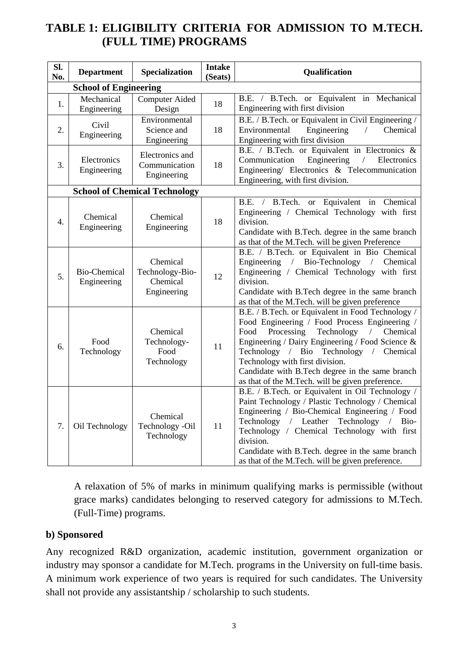### **TABLE 1: ELIGIBILITY CRITERIA FOR ADMISSION TO M.TECH. (FULL TIME) PROGRAMS**

| SI.<br>No. | <b>Department</b>                  | Specialization                                         | <b>Intake</b><br>(Seats) | Qualification                                                                                                                                                                                                                                                                                                                                                                                            |  |
|------------|------------------------------------|--------------------------------------------------------|--------------------------|----------------------------------------------------------------------------------------------------------------------------------------------------------------------------------------------------------------------------------------------------------------------------------------------------------------------------------------------------------------------------------------------------------|--|
|            | <b>School of Engineering</b>       |                                                        |                          |                                                                                                                                                                                                                                                                                                                                                                                                          |  |
| 1.         | Mechanical<br>Engineering          | <b>Computer Aided</b><br>Design                        | 18                       | B.E. / B.Tech. or Equivalent in Mechanical<br>Engineering with first division                                                                                                                                                                                                                                                                                                                            |  |
| 2.         | Civil<br>Engineering               | Environmental<br>Science and<br>Engineering            | 18                       | B.E. / B.Tech. or Equivalent in Civil Engineering /<br>Engineering<br>Chemical<br>Environmental<br>$\sqrt{2}$<br>Engineering with first division                                                                                                                                                                                                                                                         |  |
| 3.         | Electronics<br>Engineering         | Electronics and<br>Communication<br>Engineering        | 18                       | B.E. / B.Tech. or Equivalent in Electronics $\&$<br>Communication<br>Engineering<br>$\sqrt{2}$<br>Electronics<br>Engineering/ Electronics & Telecommunication<br>Engineering, with first division.                                                                                                                                                                                                       |  |
|            |                                    | <b>School of Chemical Technology</b>                   |                          |                                                                                                                                                                                                                                                                                                                                                                                                          |  |
| 4.         | Chemical<br>Engineering            | Chemical<br>Engineering                                | 18                       | B.E.<br>B.Tech.<br>Equivalent in<br>Chemical<br><b>or</b><br>$\frac{1}{2}$<br>Engineering / Chemical Technology with first<br>division.<br>Candidate with B.Tech. degree in the same branch<br>as that of the M.Tech. will be given Preference                                                                                                                                                           |  |
| 5.         | <b>Bio-Chemical</b><br>Engineering | Chemical<br>Technology-Bio-<br>Chemical<br>Engineering | 12                       | B.E. / B.Tech. or Equivalent in Bio Chemical<br>Engineering / Bio-Technology / Chemical<br>Engineering / Chemical Technology with first<br>division.<br>Candidate with B.Tech degree in the same branch<br>as that of the M.Tech. will be given preference                                                                                                                                               |  |
| 6.         | Food<br>Technology                 | Chemical<br>Technology-<br>Food<br>Technology          | 11                       | B.E. / B.Tech. or Equivalent in Food Technology /<br>Food Engineering / Food Process Engineering /<br>Technology<br>Food<br>Processing<br>$\sqrt{2}$<br>Chemical<br>Engineering / Dairy Engineering / Food Science &<br>Technology / Bio Technology / Chemical<br>Technology with first division.<br>Candidate with B.Tech degree in the same branch<br>as that of the M.Tech. will be given preference. |  |
| 7.         | Oil Technology                     | Chemical<br>Technology -Oil<br>Technology              | 11                       | B.E. / B.Tech. or Equivalent in Oil Technology /<br>Paint Technology / Plastic Technology / Chemical<br>Engineering / Bio-Chemical Engineering / Food<br>Technology / Leather<br>Technology<br>Bio-<br>$\sqrt{2}$<br>Technology / Chemical Technology with first<br>division.<br>Candidate with B.Tech. degree in the same branch<br>as that of the M.Tech. will be given preference.                    |  |

A relaxation of 5% of marks in minimum qualifying marks is permissible (without grace marks) candidates belonging to reserved category for admissions to M.Tech. (Full-Time) programs.

#### **b) Sponsored**

Any recognized R&D organization, academic institution, government organization or industry may sponsor a candidate for M.Tech. programs in the University on full-time basis. A minimum work experience of two years is required for such candidates. The University shall not provide any assistantship / scholarship to such students.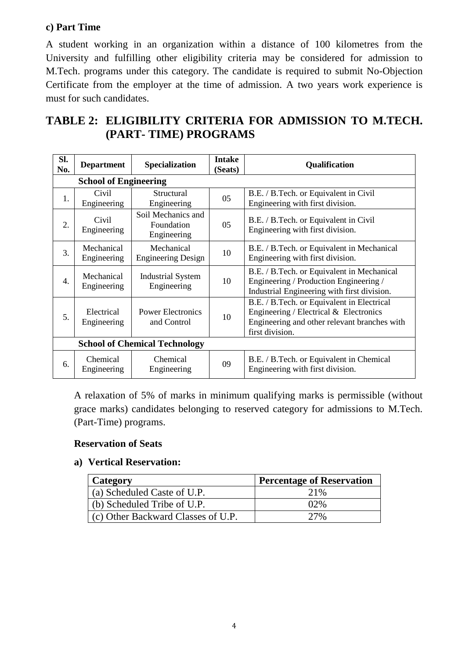### **c) Part Time**

A student working in an organization within a distance of 100 kilometres from the University and fulfilling other eligibility criteria may be considered for admission to M.Tech. programs under this category. The candidate is required to submit No-Objection Certificate from the employer at the time of admission. A two years work experience is must for such candidates.

## **TABLE 2: ELIGIBILITY CRITERIA FOR ADMISSION TO M.TECH. (PART- TIME) PROGRAMS**

| SI.<br>No.                           | <b>Department</b>            | <b>Specialization</b>                           | <b>Intake</b><br>(Seats) | <b>Qualification</b>                                                                                                                                       |  |
|--------------------------------------|------------------------------|-------------------------------------------------|--------------------------|------------------------------------------------------------------------------------------------------------------------------------------------------------|--|
|                                      | <b>School of Engineering</b> |                                                 |                          |                                                                                                                                                            |  |
| 1.                                   | Civil<br>Engineering         | Structural<br>Engineering                       | 05                       | B.E. / B.Tech. or Equivalent in Civil<br>Engineering with first division.                                                                                  |  |
| 2.                                   | Civil<br>Engineering         | Soil Mechanics and<br>Foundation<br>Engineering | 05                       | B.E. / B.Tech. or Equivalent in Civil<br>Engineering with first division.                                                                                  |  |
| 3.                                   | Mechanical<br>Engineering    | Mechanical<br><b>Engineering Design</b>         | 10                       | B.E. / B.Tech. or Equivalent in Mechanical<br>Engineering with first division.                                                                             |  |
| $\overline{4}$ .                     | Mechanical<br>Engineering    | <b>Industrial System</b><br>Engineering         | 10                       | B.E. / B.Tech. or Equivalent in Mechanical<br>Engineering / Production Engineering /<br>Industrial Engineering with first division.                        |  |
| 5.                                   | Electrical<br>Engineering    | <b>Power Electronics</b><br>and Control         | 10                       | B.E. / B.Tech. or Equivalent in Electrical<br>Engineering / Electrical $\&$ Electronics<br>Engineering and other relevant branches with<br>first division. |  |
| <b>School of Chemical Technology</b> |                              |                                                 |                          |                                                                                                                                                            |  |
| 6.                                   | Chemical<br>Engineering      | Chemical<br>Engineering                         | 09                       | B.E. / B.Tech. or Equivalent in Chemical<br>Engineering with first division.                                                                               |  |

A relaxation of 5% of marks in minimum qualifying marks is permissible (without grace marks) candidates belonging to reserved category for admissions to M.Tech. (Part-Time) programs.

#### **Reservation of Seats**

#### **a) Vertical Reservation:**

| Category                           | <b>Percentage of Reservation</b> |  |
|------------------------------------|----------------------------------|--|
| (a) Scheduled Caste of U.P.        | 21%                              |  |
| (b) Scheduled Tribe of U.P.        | $02\%$                           |  |
| (c) Other Backward Classes of U.P. | 27%                              |  |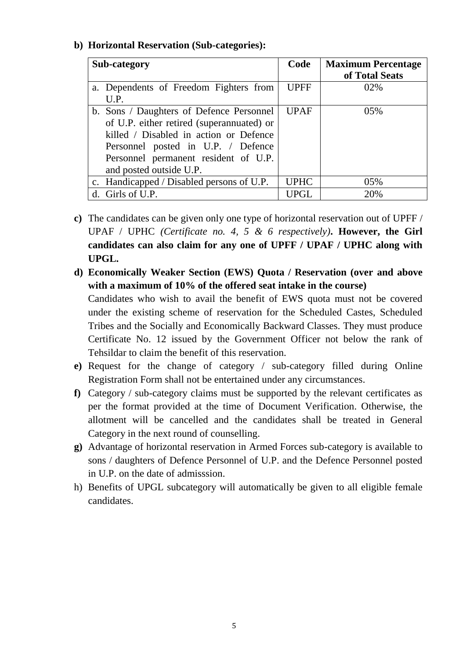#### **b) Horizontal Reservation (Sub-categories):**

| Sub-category                              | Code        | <b>Maximum Percentage</b><br>of Total Seats |
|-------------------------------------------|-------------|---------------------------------------------|
| a. Dependents of Freedom Fighters from    | <b>UPFF</b> | 02%                                         |
| U.P.                                      |             |                                             |
| b. Sons / Daughters of Defence Personnel  | <b>UPAF</b> | $0.5\%$                                     |
| of U.P. either retired (superannuated) or |             |                                             |
| killed / Disabled in action or Defence    |             |                                             |
| Personnel posted in U.P. / Defence        |             |                                             |
| Personnel permanent resident of U.P.      |             |                                             |
| and posted outside U.P.                   |             |                                             |
| c. Handicapped / Disabled persons of U.P. | <b>UPHC</b> | 05%                                         |
| d. Girls of U.P.                          | <b>UPGL</b> | 20%                                         |

- **c)** The candidates can be given only one type of horizontal reservation out of UPFF / UPAF / UPHC *(Certificate no. 4, 5 & 6 respectively)***. However, the Girl candidates can also claim for any one of UPFF / UPAF / UPHC along with UPGL.**
- **d) Economically Weaker Section (EWS) Quota / Reservation (over and above with a maximum of 10% of the offered seat intake in the course)** Candidates who wish to avail the benefit of EWS quota must not be covered under the existing scheme of reservation for the Scheduled Castes, Scheduled Tribes and the Socially and Economically Backward Classes. They must produce Certificate No. 12 issued by the Government Officer not below the rank of Tehsildar to claim the benefit of this reservation.
- **e)** Request for the change of category / sub-category filled during Online Registration Form shall not be entertained under any circumstances.
- **f)** Category / sub-category claims must be supported by the relevant certificates as per the format provided at the time of Document Verification. Otherwise, the allotment will be cancelled and the candidates shall be treated in General Category in the next round of counselling.
- **g)** Advantage of horizontal reservation in Armed Forces sub-category is available to sons / daughters of Defence Personnel of U.P. and the Defence Personnel posted in U.P. on the date of admisssion.
- h) Benefits of UPGL subcategory will automatically be given to all eligible female candidates.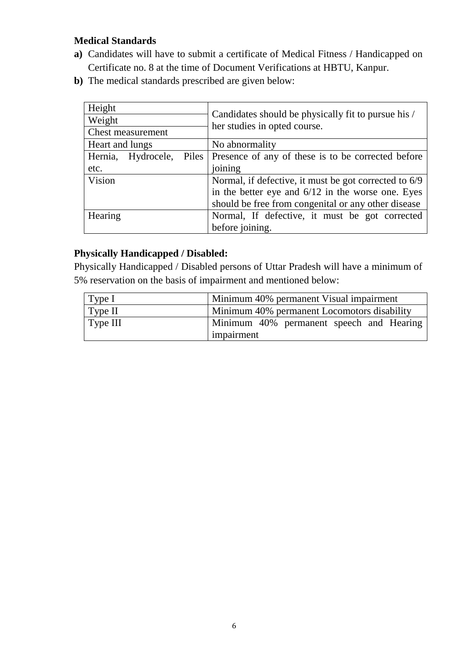### **Medical Standards**

- **a)** Candidates will have to submit a certificate of Medical Fitness / Handicapped on Certificate no. 8 at the time of Document Verifications at HBTU, Kanpur.
- **b**) The medical standards prescribed are given below:

| Height                         | Candidates should be physically fit to pursue his /<br>her studies in opted course. |  |
|--------------------------------|-------------------------------------------------------------------------------------|--|
| Weight                         |                                                                                     |  |
| <b>Chest measurement</b>       |                                                                                     |  |
| Heart and lungs                | No abnormality                                                                      |  |
| Hernia,<br>Hydrocele,<br>Piles | Presence of any of these is to be corrected before                                  |  |
| etc.                           | joining                                                                             |  |
| Vision                         | Normal, if defective, it must be got corrected to 6/9                               |  |
|                                | in the better eye and $6/12$ in the worse one. Eyes                                 |  |
|                                | should be free from congenital or any other disease                                 |  |
| Hearing                        | Normal, If defective, it must be got corrected                                      |  |
|                                | before joining.                                                                     |  |

### **Physically Handicapped / Disabled:**

Physically Handicapped / Disabled persons of Uttar Pradesh will have a minimum of 5% reservation on the basis of impairment and mentioned below:

| $\vert$ Type I   | Minimum 40% permanent Visual impairment     |
|------------------|---------------------------------------------|
| $\vert$ Type II  | Minimum 40% permanent Locomotors disability |
| $\vert$ Type III | Minimum 40% permanent speech and Hearing    |
|                  | impairment                                  |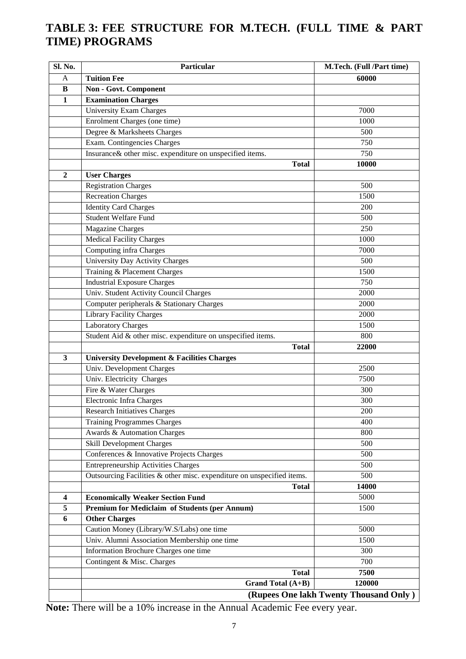### **TABLE 3: FEE STRUCTURE FOR M.TECH. (FULL TIME & PART TIME) PROGRAMS**

| Sl. No.                 | Particular                                                             | M.Tech. (Full /Part time)              |
|-------------------------|------------------------------------------------------------------------|----------------------------------------|
| A                       | <b>Tuition Fee</b>                                                     | 60000                                  |
| B                       | Non - Govt. Component                                                  |                                        |
| $\mathbf{1}$            | <b>Examination Charges</b>                                             |                                        |
|                         | <b>University Exam Charges</b>                                         | 7000                                   |
|                         | Enrolment Charges (one time)                                           | 1000                                   |
|                         | Degree & Marksheets Charges                                            | 500                                    |
|                         | Exam. Contingencies Charges                                            | 750                                    |
|                         | Insurance& other misc. expenditure on unspecified items.               | 750                                    |
|                         | <b>Total</b>                                                           | 10000                                  |
| $\overline{2}$          | <b>User Charges</b>                                                    |                                        |
|                         | <b>Registration Charges</b>                                            | 500                                    |
|                         | Recreation Charges                                                     | 1500                                   |
|                         | <b>Identity Card Charges</b>                                           | 200                                    |
|                         | <b>Student Welfare Fund</b>                                            | 500                                    |
|                         | <b>Magazine Charges</b>                                                | 250                                    |
|                         | <b>Medical Facility Charges</b>                                        | 1000                                   |
|                         | Computing infra Charges                                                | 7000                                   |
|                         | University Day Activity Charges                                        | 500                                    |
|                         | Training & Placement Charges                                           | 1500                                   |
|                         | <b>Industrial Exposure Charges</b>                                     | 750                                    |
|                         | Univ. Student Activity Council Charges                                 | 2000                                   |
|                         | Computer peripherals & Stationary Charges                              | 2000                                   |
|                         | <b>Library Facility Charges</b>                                        | 2000                                   |
|                         | Laboratory Charges                                                     | 1500                                   |
|                         | Student Aid & other misc. expenditure on unspecified items.            | 800                                    |
|                         | <b>Total</b>                                                           | 22000                                  |
| $\overline{\mathbf{3}}$ | <b>University Development &amp; Facilities Charges</b>                 |                                        |
|                         | Univ. Development Charges                                              | 2500                                   |
|                         | Univ. Electricity Charges                                              | 7500                                   |
|                         | Fire & Water Charges                                                   | 300                                    |
|                         | Electronic Infra Charges                                               | 300                                    |
|                         | <b>Research Initiatives Charges</b>                                    | 200                                    |
|                         | <b>Training Programmes Charges</b>                                     | 400                                    |
|                         | Awards & Automation Charges                                            | 800                                    |
|                         | Skill Development Charges                                              | 500                                    |
|                         | Conferences & Innovative Projects Charges                              | 500                                    |
|                         | <b>Entrepreneurship Activities Charges</b>                             | 500                                    |
|                         | Outsourcing Facilities & other misc. expenditure on unspecified items. | 500                                    |
|                         | <b>Total</b>                                                           | 14000                                  |
| 4                       | <b>Economically Weaker Section Fund</b>                                | 5000                                   |
| 5                       | Premium for Mediclaim of Students (per Annum)                          | 1500                                   |
| 6                       | <b>Other Charges</b>                                                   |                                        |
|                         | Caution Money (Library/W.S/Labs) one time                              | 5000                                   |
|                         | Univ. Alumni Association Membership one time                           | 1500                                   |
|                         | Information Brochure Charges one time                                  | 300                                    |
|                         | Contingent & Misc. Charges                                             | 700                                    |
|                         | <b>Total</b>                                                           | 7500                                   |
|                         | Grand Total (A+B)                                                      | 120000                                 |
|                         |                                                                        | (Rupees One lakh Twenty Thousand Only) |

**Note:** There will be a 10% increase in the Annual Academic Fee every year.